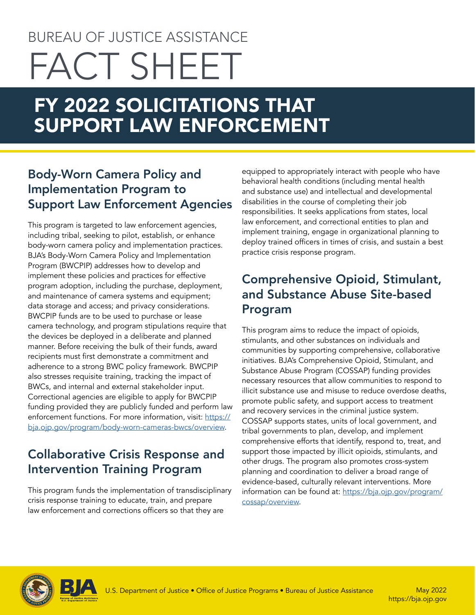# BUREAU OF JUSTICE ASSISTANCE FACT SHEET

# FY 2022 SOLICITATIONS THAT SUPPORT LAW ENFORCEMENT

# Body-Worn Camera Policy and Implementation Program to Support Law Enforcement Agencies

This program is targeted to law enforcement agencies, including tribal, seeking to pilot, establish, or enhance body-worn camera policy and implementation practices. BJA's Body-Worn Camera Policy and Implementation Program (BWCPIP) addresses how to develop and implement these policies and practices for effective program adoption, including the purchase, deployment, and maintenance of camera systems and equipment; data storage and access; and privacy considerations. BWCPIP funds are to be used to purchase or lease camera technology, and program stipulations require that the devices be deployed in a deliberate and planned manner. Before receiving the bulk of their funds, award recipients must first demonstrate a commitment and adherence to a strong BWC policy framework. BWCPIP also stresses requisite training, tracking the impact of BWCs, and internal and external stakeholder input. Correctional agencies are eligible to apply for BWCPIP funding provided they are publicly funded and perform law enforcement functions. For more information, visit: [https://](https://bja.ojp.gov/program/body-worn-cameras-bwcs/overview) [bja.ojp.gov/program/body-worn-cameras-bwcs/overview](https://bja.ojp.gov/program/body-worn-cameras-bwcs/overview).

# Collaborative Crisis Response and Intervention Training Program

This program funds the implementation of transdisciplinary crisis response training to educate, train, and prepare law enforcement and corrections officers so that they are

equipped to appropriately interact with people who have behavioral health conditions (including mental health and substance use) and intellectual and developmental disabilities in the course of completing their job responsibilities. It seeks applications from states, local law enforcement, and correctional entities to plan and implement training, engage in organizational planning to deploy trained officers in times of crisis, and sustain a best practice crisis response program.

# Comprehensive Opioid, Stimulant, and Substance Abuse Site-based Program

This program aims to reduce the impact of opioids, stimulants, and other substances on individuals and communities by supporting comprehensive, collaborative initiatives. BJA's Comprehensive Opioid, Stimulant, and Substance Abuse Program (COSSAP) funding provides necessary resources that allow communities to respond to illicit substance use and misuse to reduce overdose deaths, promote public safety, and support access to treatment and recovery services in the criminal justice system. COSSAP supports states, units of local government, and tribal governments to plan, develop, and implement comprehensive efforts that identify, respond to, treat, and support those impacted by illicit opioids, stimulants, and other drugs. The program also promotes cross-system planning and coordination to deliver a broad range of evidence-based, culturally relevant interventions. More information can be found at: [https://bja.ojp.gov/program/](https://bja.ojp.gov/program/cossap/overview) [cossap/overview](https://bja.ojp.gov/program/cossap/overview).



<https://bja.ojp.gov>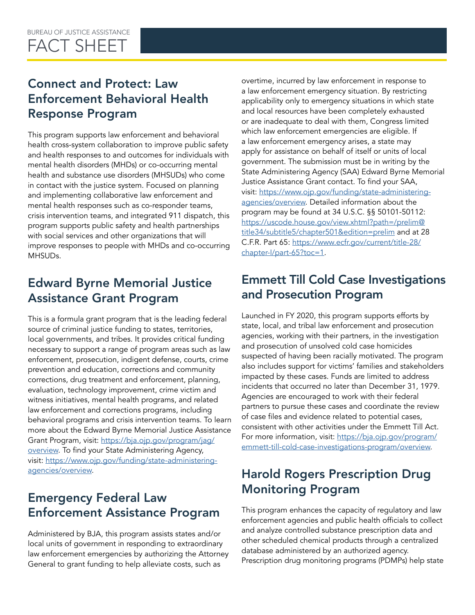# Connect and Protect: Law Enforcement Behavioral Health Response Program

This program supports law enforcement and behavioral health cross-system collaboration to improve public safety and health responses to and outcomes for individuals with mental health disorders (MHDs) or co-occurring mental health and substance use disorders (MHSUDs) who come in contact with the justice system. Focused on planning and implementing collaborative law enforcement and mental health responses such as co-responder teams, crisis intervention teams, and integrated 911 dispatch, this program supports public safety and health partnerships with social services and other organizations that will improve responses to people with MHDs and co-occurring MHSUDs.

# Edward Byrne Memorial Justice Assistance Grant Program

This is a formula grant program that is the leading federal source of criminal justice funding to states, territories, local governments, and tribes. It provides critical funding necessary to support a range of program areas such as law enforcement, prosecution, indigent defense, courts, crime prevention and education, corrections and community corrections, drug treatment and enforcement, planning, evaluation, technology improvement, crime victim and witness initiatives, mental health programs, and related law enforcement and corrections programs, including behavioral programs and crisis intervention teams. To learn more about the Edward Byrne Memorial Justice Assistance Grant Program, visit: [https://bja.ojp.gov/program/jag/](https://bja.ojp.gov/program/jag/overview) [overview](https://bja.ojp.gov/program/jag/overview). To find your State Administering Agency, visit: [https://www.ojp.gov/funding/state-administering](https://www.ojp.gov/funding/state-administering-agencies/overview)[agencies/overview](https://www.ojp.gov/funding/state-administering-agencies/overview).

# Emergency Federal Law Enforcement Assistance Program

Administered by BJA, this program assists states and/or local units of government in responding to extraordinary law enforcement emergencies by authorizing the Attorney General to grant funding to help alleviate costs, such as

overtime, incurred by law enforcement in response to a law enforcement emergency situation. By restricting applicability only to emergency situations in which state and local resources have been completely exhausted or are inadequate to deal with them, Congress limited which law enforcement emergencies are eligible. If a law enforcement emergency arises, a state may apply for assistance on behalf of itself or units of local government. The submission must be in writing by the State Administering Agency (SAA) Edward Byrne Memorial Justice Assistance Grant contact. To find your SAA, visit: [https://www.ojp.gov/funding/state-administering](https://www.ojp.gov/funding/state-administering-agencies/overview)[agencies/overview.](https://www.ojp.gov/funding/state-administering-agencies/overview) Detailed information about the program may be found at 34 U.S.C. §§ 50101-50112: [https://uscode.house.gov/view.xhtml?path=/prelim@](https://uscode.house.gov/view.xhtml?path=/prelim@title34/subtitle5/chapter501&edition=prelim) [title34/subtitle5/chapter501&edition=prelim](https://uscode.house.gov/view.xhtml?path=/prelim@title34/subtitle5/chapter501&edition=prelim) and at 28 C.F.R. Part 65: [https://www.ecfr.gov/current/title-28/](https://www.ecfr.gov/current/title-28/chapter-I/part-65?toc=1) [chapter-I/part-65?toc=1](https://www.ecfr.gov/current/title-28/chapter-I/part-65?toc=1).

### Emmett Till Cold Case Investigations and Prosecution Program

Launched in FY 2020, this program supports efforts by state, local, and tribal law enforcement and prosecution agencies, working with their partners, in the investigation and prosecution of unsolved cold case homicides suspected of having been racially motivated. The program also includes support for victims' families and stakeholders impacted by these cases. Funds are limited to address incidents that occurred no later than December 31, 1979. Agencies are encouraged to work with their federal partners to pursue these cases and coordinate the review of case files and evidence related to potential cases, consistent with other activities under the Emmett Till Act. For more information, visit: [https://bja.ojp.gov/program/](https://bja.ojp.gov/program/emmett-till-cold-case-investigations-program/overview) [emmett-till-cold-case-investigations-program/overview.](https://bja.ojp.gov/program/emmett-till-cold-case-investigations-program/overview)

# Harold Rogers Prescription Drug Monitoring Program

This program enhances the capacity of regulatory and law enforcement agencies and public health officials to collect and analyze controlled substance prescription data and other scheduled chemical products through a centralized database administered by an authorized agency. Prescription drug monitoring programs (PDMPs) help state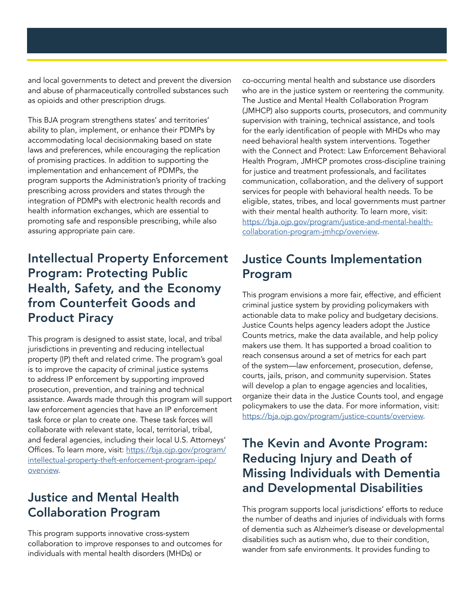and local governments to detect and prevent the diversion and abuse of pharmaceutically controlled substances such as opioids and other prescription drugs.

This BJA program strengthens states' and territories' ability to plan, implement, or enhance their PDMPs by accommodating local decisionmaking based on state laws and preferences, while encouraging the replication of promising practices. In addition to supporting the implementation and enhancement of PDMPs, the program supports the Administration's priority of tracking prescribing across providers and states through the integration of PDMPs with electronic health records and health information exchanges, which are essential to promoting safe and responsible prescribing, while also assuring appropriate pain care.

# Intellectual Property Enforcement Program: Protecting Public Health, Safety, and the Economy from Counterfeit Goods and Product Piracy

This program is designed to assist state, local, and tribal jurisdictions in preventing and reducing intellectual property (IP) theft and related crime. The program's goal is to improve the capacity of criminal justice systems to address IP enforcement by supporting improved prosecution, prevention, and training and technical assistance. Awards made through this program will support law enforcement agencies that have an IP enforcement task force or plan to create one. These task forces will collaborate with relevant state, local, territorial, tribal, and federal agencies, including their local U.S. Attorneys' Offices. To learn more, visit: [https://bja.ojp.gov/program/](https://bja.ojp.gov/program/intellectual-property-theft-enforcement-program-ipep/overview) [intellectual-property-theft-enforcement-program-ipep/](https://bja.ojp.gov/program/intellectual-property-theft-enforcement-program-ipep/overview) [overview](https://bja.ojp.gov/program/intellectual-property-theft-enforcement-program-ipep/overview).

# Justice and Mental Health Collaboration Program

This program supports innovative cross-system collaboration to improve responses to and outcomes for individuals with mental health disorders (MHDs) or

co-occurring mental health and substance use disorders who are in the justice system or reentering the community. The Justice and Mental Health Collaboration Program (JMHCP) also supports courts, prosecutors, and community supervision with training, technical assistance, and tools for the early identification of people with MHDs who may need behavioral health system interventions. Together with the Connect and Protect: Law Enforcement Behavioral Health Program, JMHCP promotes cross-discipline training for justice and treatment professionals, and facilitates communication, collaboration, and the delivery of support services for people with behavioral health needs. To be eligible, states, tribes, and local governments must partner with their mental health authority. To learn more, visit: [https://bja.ojp.gov/program/justice-and-mental-health](https://bja.ojp.gov/program/justice-and-mental-health-collaboration-program-jmhcp/overview)[collaboration-program-jmhcp/overview](https://bja.ojp.gov/program/justice-and-mental-health-collaboration-program-jmhcp/overview).

# Justice Counts Implementation Program

This program envisions a more fair, effective, and efficient criminal justice system by providing policymakers with actionable data to make policy and budgetary decisions. Justice Counts helps agency leaders adopt the Justice Counts metrics, make the data available, and help policy makers use them. It has supported a broad coalition to reach consensus around a set of metrics for each part of the system—law enforcement, prosecution, defense, courts, jails, prison, and community supervision. States will develop a plan to engage agencies and localities, organize their data in the Justice Counts tool, and engage policymakers to use the data. For more information, visit: <https://bja.ojp.gov/program/justice-counts/overview>.

# The Kevin and Avonte Program: Reducing Injury and Death of Missing Individuals with Dementia and Developmental Disabilities

This program supports local jurisdictions' efforts to reduce the number of deaths and injuries of individuals with forms of dementia such as Alzheimer's disease or developmental disabilities such as autism who, due to their condition, wander from safe environments. It provides funding to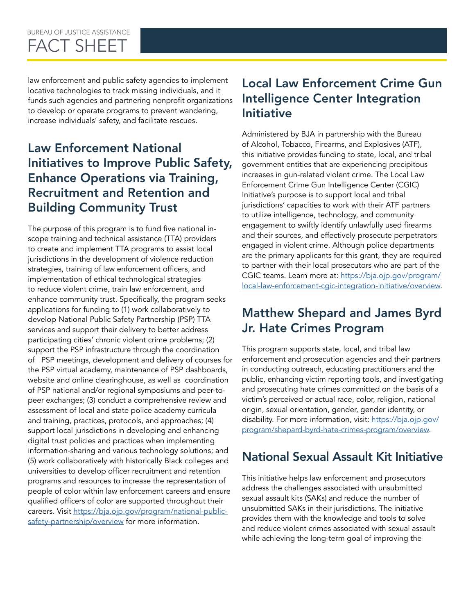#### BUREAU OF JUSTICE ASSISTANCE FACT SHEET

law enforcement and public safety agencies to implement locative technologies to track missing individuals, and it funds such agencies and partnering nonprofit organizations to develop or operate programs to prevent wandering, increase individuals' safety, and facilitate rescues.

# Law Enforcement National Initiatives to Improve Public Safety, Enhance Operations via Training, Recruitment and Retention and Building Community Trust

The purpose of this program is to fund five national inscope training and technical assistance (TTA) providers to create and implement TTA programs to assist local jurisdictions in the development of violence reduction strategies, training of law enforcement officers, and implementation of ethical technological strategies to reduce violent crime, train law enforcement, and enhance community trust. Specifically, the program seeks applications for funding to (1) work collaboratively to develop National Public Safety Partnership (PSP) TTA services and support their delivery to better address participating cities' chronic violent crime problems; (2) support the PSP infrastructure through the coordination of PSP meetings, development and delivery of courses for the PSP virtual academy, maintenance of PSP dashboards, website and online clearinghouse, as well as coordination of PSP national and/or regional symposiums and peer-topeer exchanges; (3) conduct a comprehensive review and assessment of local and state police academy curricula and training, practices, protocols, and approaches; (4) support local jurisdictions in developing and enhancing digital trust policies and practices when implementing information-sharing and various technology solutions; and (5) work collaboratively with historically Black colleges and universities to develop officer recruitment and retention programs and resources to increase the representation of people of color within law enforcement careers and ensure qualified officers of color are supported throughout their careers. Visit [https://bja.ojp.gov/program/national-public](https://bja.ojp.gov/program/national-public-safety-partnership/overview)[safety-partnership/overview](https://bja.ojp.gov/program/national-public-safety-partnership/overview) for more information.

# Local Law Enforcement Crime Gun Intelligence Center Integration Initiative

Administered by BJA in partnership with the Bureau of Alcohol, Tobacco, Firearms, and Explosives (ATF), this initiative provides funding to state, local, and tribal government entities that are experiencing precipitous increases in gun-related violent crime. The Local Law Enforcement Crime Gun Intelligence Center (CGIC) Initiative's purpose is to support local and tribal jurisdictions' capacities to work with their ATF partners to utilize intelligence, technology, and community engagement to swiftly identify unlawfully used firearms and their sources, and effectively prosecute perpetrators engaged in violent crime. Although police departments are the primary applicants for this grant, they are required to partner with their local prosecutors who are part of the CGIC teams. Learn more at: [https://bja.ojp.gov/program/](https://bja.ojp.gov/program/local-law-enforcement-cgic-integration-initiative/overview) [local-law-enforcement-cgic-integration-initiative/overview.](https://bja.ojp.gov/program/local-law-enforcement-cgic-integration-initiative/overview)

# Matthew Shepard and James Byrd Jr. Hate Crimes Program

This program supports state, local, and tribal law enforcement and prosecution agencies and their partners in conducting outreach, educating practitioners and the public, enhancing victim reporting tools, and investigating and prosecuting hate crimes committed on the basis of a victim's perceived or actual race, color, religion, national origin, sexual orientation, gender, gender identity, or disability. For more information, visit: [https://bja.ojp.gov/](https://bja.ojp.gov/program/shepard-byrd-hate-crimes-program/overview) [program/shepard-byrd-hate-crimes-program/overview](https://bja.ojp.gov/program/shepard-byrd-hate-crimes-program/overview).

# National Sexual Assault Kit Initiative

This initiative helps law enforcement and prosecutors address the challenges associated with unsubmitted sexual assault kits (SAKs) and reduce the number of unsubmitted SAKs in their jurisdictions. The initiative provides them with the knowledge and tools to solve and reduce violent crimes associated with sexual assault while achieving the long-term goal of improving the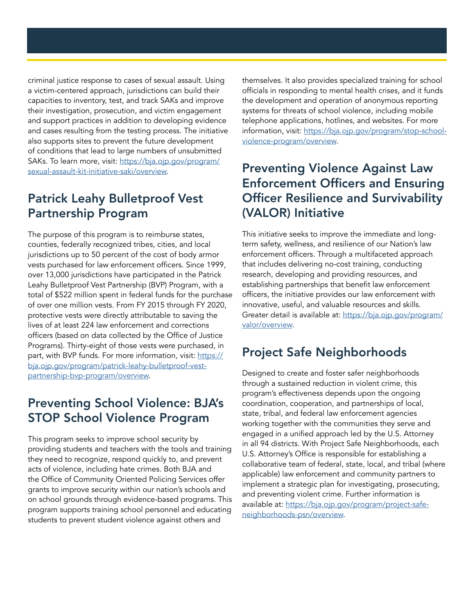criminal justice response to cases of sexual assault. Using a victim-centered approach, jurisdictions can build their capacities to inventory, test, and track SAKs and improve their investigation, prosecution, and victim engagement and support practices in addition to developing evidence and cases resulting from the testing process. The initiative also supports sites to prevent the future development of conditions that lead to large numbers of unsubmitted SAKs. To learn more, visit: [https://bja.ojp.gov/program/](https://bja.ojp.gov/program/sexual-assault-kit-initiative-saki/overview) [sexual-assault-kit-initiative-saki/overview.](https://bja.ojp.gov/program/sexual-assault-kit-initiative-saki/overview)

# Patrick Leahy Bulletproof Vest Partnership Program

The purpose of this program is to reimburse states, counties, federally recognized tribes, cities, and local jurisdictions up to 50 percent of the cost of body armor vests purchased for law enforcement officers. Since 1999, over 13,000 jurisdictions have participated in the Patrick Leahy Bulletproof Vest Partnership (BVP) Program, with a total of \$522 million spent in federal funds for the purchase of over one million vests. From FY 2015 through FY 2020, protective vests were directly attributable to saving the lives of at least 224 law enforcement and corrections officers (based on data collected by the Office of Justice Programs). Thirty-eight of those vests were purchased, in part, with BVP funds. For more information, visit: [https://](https://bja.ojp.gov/program/patrick-leahy-bulletproof-vest-partnership-bvp-program/overview) [bja.ojp.gov/program/patrick-leahy-bulletproof-vest](https://bja.ojp.gov/program/patrick-leahy-bulletproof-vest-partnership-bvp-program/overview)[partnership-bvp-program/overview.](https://bja.ojp.gov/program/patrick-leahy-bulletproof-vest-partnership-bvp-program/overview)

# Preventing School Violence: BJA's STOP School Violence Program

This program seeks to improve school security by providing students and teachers with the tools and training they need to recognize, respond quickly to, and prevent acts of violence, including hate crimes. Both BJA and the Office of Community Oriented Policing Services offer grants to improve security within our nation's schools and on school grounds through evidence-based programs. This program supports training school personnel and educating students to prevent student violence against others and

themselves. It also provides specialized training for school officials in responding to mental health crises, and it funds the development and operation of anonymous reporting systems for threats of school violence, including mobile telephone applications, hotlines, and websites. For more information, visit: [https://bja.ojp.gov/program/stop-school](https://bja.ojp.gov/program/stop-school-violence-program/overview)[violence-program/overview.](https://bja.ojp.gov/program/stop-school-violence-program/overview)

# Preventing Violence Against Law Enforcement Officers and Ensuring Officer Resilience and Survivability (VALOR) Initiative

This initiative seeks to improve the immediate and longterm safety, wellness, and resilience of our Nation's law enforcement officers. Through a multifaceted approach that includes delivering no-cost training, conducting research, developing and providing resources, and establishing partnerships that benefit law enforcement officers, the initiative provides our law enforcement with innovative, useful, and valuable resources and skills. Greater detail is available at: [https://bja.ojp.gov/program/](https://bja.ojp.gov/program/valor/overview) [valor/overview.](https://bja.ojp.gov/program/valor/overview)

# Project Safe Neighborhoods

Designed to create and foster safer neighborhoods through a sustained reduction in violent crime, this program's effectiveness depends upon the ongoing coordination, cooperation, and partnerships of local, state, tribal, and federal law enforcement agencies working together with the communities they serve and engaged in a unified approach led by the U.S. Attorney in all 94 districts. With Project Safe Neighborhoods, each U.S. Attorney's Office is responsible for establishing a collaborative team of federal, state, local, and tribal (where applicable) law enforcement and community partners to implement a strategic plan for investigating, prosecuting, and preventing violent crime. Further information is available at: [https://bja.ojp.gov/program/project-safe](https://bja.ojp.gov/program/project-safe-neighborhoods-psn/overview)[neighborhoods-psn/overview.](https://bja.ojp.gov/program/project-safe-neighborhoods-psn/overview)